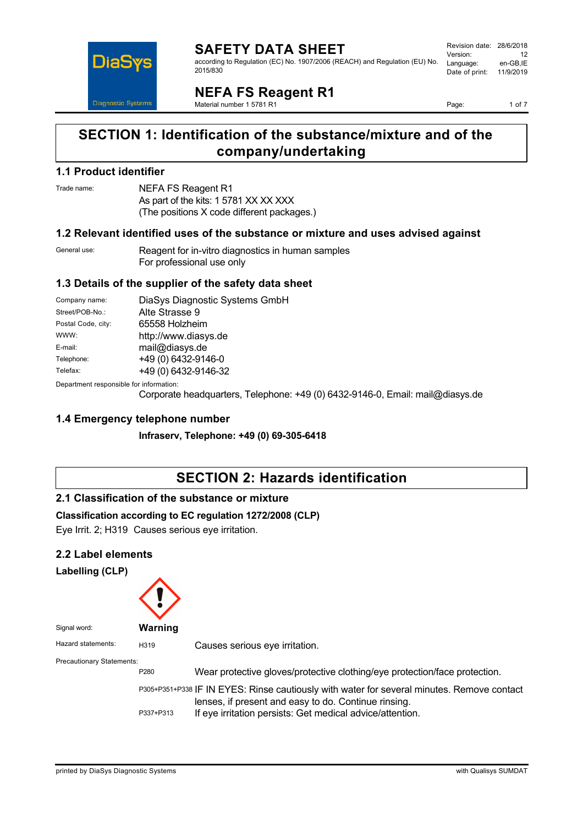

#### **SAFETY DATA SHEET** according to Regulation (EC) No. 1907/2006 (REACH) and Regulation (EU) No. 2015/830

|    | Revision date: 28/6/2018 |           |
|----|--------------------------|-----------|
|    | Version:                 | 12        |
| Ο. | Language:                | en-GB.IE  |
|    | Date of print:           | 11/9/2019 |
|    |                          |           |

**NEFA FS Reagent R1**

Material number 1 5781 R1

Page: 1 of 7

# **SECTION 1: Identification of the substance/mixture and of the company/undertaking**

### **1.1 Product identifier**

Trade name: NEFA FS Reagent R1 As part of the kits: 1 5781 XX XX XXX (The positions X code different packages.)

### **1.2 Relevant identified uses of the substance or mixture and uses advised against**

| General use: | Reagent for in-vitro diagnostics in human samples |
|--------------|---------------------------------------------------|
|              | For professional use only                         |

# **1.3 Details of the supplier of the safety data sheet**

| Company name:      | DiaSys Diagnostic Systems GmbH |  |
|--------------------|--------------------------------|--|
| Street/POB-No.:    | Alte Strasse 9                 |  |
| Postal Code, city: | 65558 Holzheim                 |  |
| WWW:               | http://www.diasys.de           |  |
| E-mail:            | mail@diasys.de                 |  |
| Telephone:         | +49 (0) 6432-9146-0            |  |
| Telefax:           | +49 (0) 6432-9146-32           |  |

Department responsible for information:

Corporate headquarters, Telephone: +49 (0) 6432-9146-0, Email: mail@diasys.de

# **1.4 Emergency telephone number**

**Infraserv, Telephone: +49 (0) 69-305-6418**

# **SECTION 2: Hazards identification**

# **2.1 Classification of the substance or mixture**

**Classification according to EC regulation 1272/2008 (CLP)**

Eye Irrit. 2; H319 Causes serious eye irritation.

### **2.2 Label elements**

**Labelling (CLP)**



Signal word: **Warning** Hazard statements: H319 Causes serious eye irritation. Precautionary Statements: P280 Wear protective gloves/protective clothing/eye protection/face protection. P305+P351+P338 IF IN EYES: Rinse cautiously with water for several minutes. Remove contact lenses, if present and easy to do. Continue rinsing. P337+P313 If eye irritation persists: Get medical advice/attention.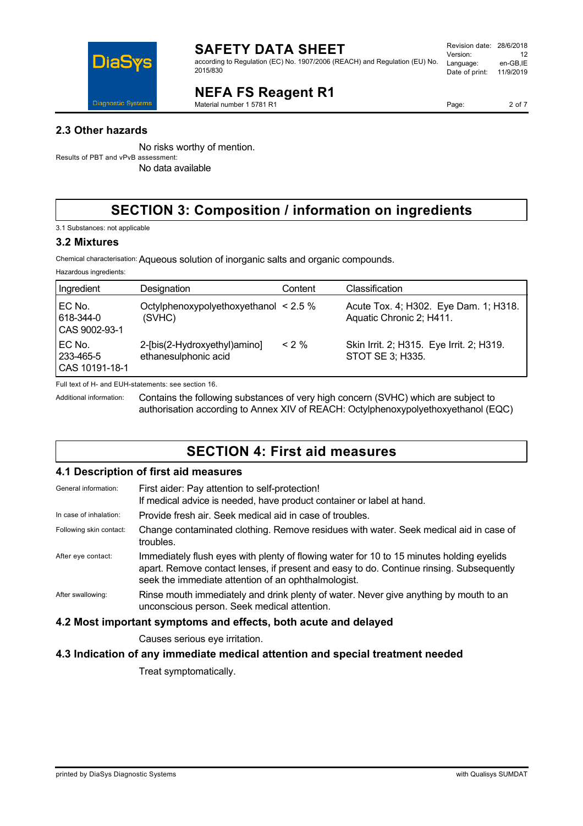

according to Regulation (EC) No. 1907/2006 (REACH) and Regulation (EU) No. 2015/830

| Revision date: 28/6/2018 |           |
|--------------------------|-----------|
| Version:                 | 12        |
| Language:                | en-GB,IE  |
| Date of print:           | 11/9/2019 |
|                          |           |

# **NEFA FS Reagent R1**

Material number 1 5781 R1

No risks worthy of mention. Results of PBT and vPvB assessment: No data available

# **SECTION 3: Composition / information on ingredients**

3.1 Substances: not applicable

### **3.2 Mixtures**

Chemical characterisation:Aqueous solution of inorganic salts and organic compounds.

Hazardous ingredients:

| Ingredient                              | Designation                                          | Content | Classification                                                    |
|-----------------------------------------|------------------------------------------------------|---------|-------------------------------------------------------------------|
| EC No.<br>618-344-0<br>CAS 9002-93-1    | Octylphenoxypolyethoxyethanol $\leq$ 2.5 %<br>(SVHC) |         | Acute Tox. 4; H302. Eye Dam. 1; H318.<br>Aquatic Chronic 2; H411. |
| EC No.<br>  233-465-5<br>CAS 10191-18-1 | 2-[bis(2-Hydroxyethyl)amino]<br>ethanesulphonic acid | $< 2\%$ | Skin Irrit. 2; H315. Eye Irrit. 2; H319.<br>STOT SE 3; H335.      |

Full text of H- and EUH-statements: see section 16.

Additional information: Contains the following substances of very high concern (SVHC) which are subject to authorisation according to Annex XIV of REACH: Octylphenoxypolyethoxyethanol (EQC)

# **SECTION 4: First aid measures**

### **4.1 Description of first aid measures**

| General information:                                            | First aider: Pay attention to self-protection!<br>If medical advice is needed, have product container or label at hand.                                                                                                                    |  |
|-----------------------------------------------------------------|--------------------------------------------------------------------------------------------------------------------------------------------------------------------------------------------------------------------------------------------|--|
| In case of inhalation:                                          | Provide fresh air. Seek medical aid in case of troubles.                                                                                                                                                                                   |  |
| Following skin contact:                                         | Change contaminated clothing. Remove residues with water. Seek medical aid in case of<br>troubles.                                                                                                                                         |  |
| After eye contact:                                              | Immediately flush eyes with plenty of flowing water for 10 to 15 minutes holding eyelids<br>apart. Remove contact lenses, if present and easy to do. Continue rinsing. Subsequently<br>seek the immediate attention of an ophthalmologist. |  |
| After swallowing:                                               | Rinse mouth immediately and drink plenty of water. Never give anything by mouth to an<br>unconscious person. Seek medical attention.                                                                                                       |  |
| 4.2 Most important symptoms and effects, both acute and delayed |                                                                                                                                                                                                                                            |  |
|                                                                 | Causes serious eye irritation.                                                                                                                                                                                                             |  |
|                                                                 |                                                                                                                                                                                                                                            |  |

### **4.3 Indication of any immediate medical attention and special treatment needed**

Treat symptomatically.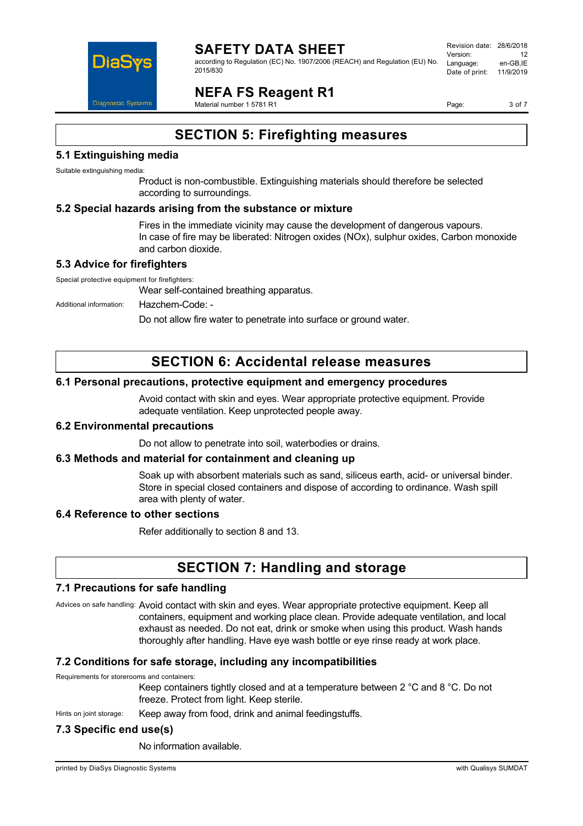

#### **SAFETY DATA SHEET** according to Regulation (EC) No. 1907/2006 (REACH) and Regulation (EU) No. 2015/830

Revision date: 28/6/2018 Version: 12<br>Language: en-GB IE Language: Date of print: 11/9/2019

# **NEFA FS Reagent R1**

Material number 1 5781 R1

Page: 3 of 7

# **SECTION 5: Firefighting measures**

# **5.1 Extinguishing media**

Suitable extinguishing media:

Product is non-combustible. Extinguishing materials should therefore be selected according to surroundings.

### **5.2 Special hazards arising from the substance or mixture**

Fires in the immediate vicinity may cause the development of dangerous vapours. In case of fire may be liberated: Nitrogen oxides (NOx), sulphur oxides, Carbon monoxide and carbon dioxide.

# **5.3 Advice for firefighters**

Special protective equipment for firefighters:

Wear self-contained breathing apparatus.

Additional information: Hazchem-Code: -

Do not allow fire water to penetrate into surface or ground water.

# **SECTION 6: Accidental release measures**

### **6.1 Personal precautions, protective equipment and emergency procedures**

Avoid contact with skin and eyes. Wear appropriate protective equipment. Provide adequate ventilation. Keep unprotected people away.

### **6.2 Environmental precautions**

Do not allow to penetrate into soil, waterbodies or drains.

### **6.3 Methods and material for containment and cleaning up**

Soak up with absorbent materials such as sand, siliceus earth, acid- or universal binder. Store in special closed containers and dispose of according to ordinance. Wash spill area with plenty of water.

### **6.4 Reference to other sections**

Refer additionally to section 8 and 13.

# **SECTION 7: Handling and storage**

### **7.1 Precautions for safe handling**

Advices on safe handling: Avoid contact with skin and eyes. Wear appropriate protective equipment. Keep all containers, equipment and working place clean. Provide adequate ventilation, and local exhaust as needed. Do not eat, drink or smoke when using this product. Wash hands thoroughly after handling. Have eye wash bottle or eye rinse ready at work place.

# **7.2 Conditions for safe storage, including any incompatibilities**

Requirements for storerooms and containers:

Keep containers tightly closed and at a temperature between 2 °C and 8 °C. Do not freeze. Protect from light. Keep sterile.

Hints on joint storage: Keep away from food, drink and animal feedingstuffs.

# **7.3 Specific end use(s)**

No information available.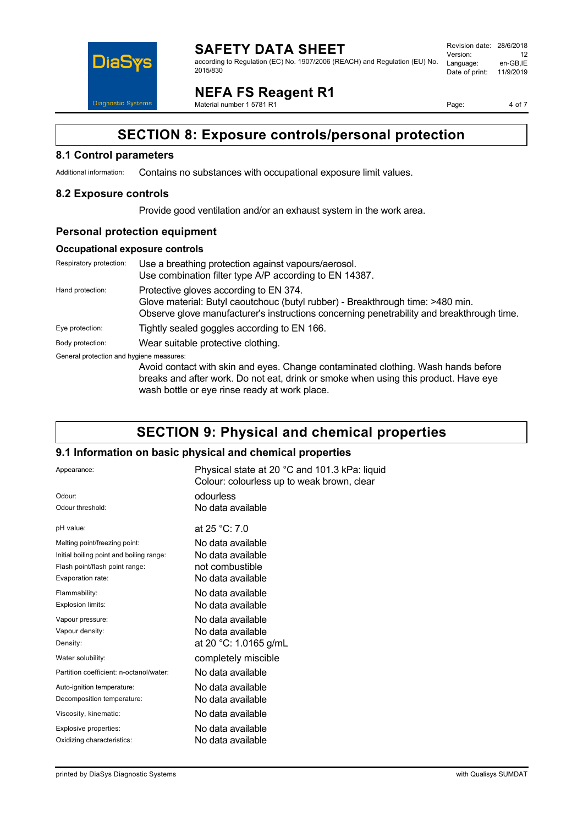

**SAFETY DATA SHEET** according to Regulation (EC) No. 1907/2006 (REACH) and Regulation (EU) No. 2015/830

Revision date: 28/6/2018 Version: 12<br>Language: en-GB.IE Language: Date of print: 11/9/2019

**NEFA FS Reagent R1**

Material number 1 5781 R1

Page: 4 of 7

# **SECTION 8: Exposure controls/personal protection**

### **8.1 Control parameters**

Additional information: Contains no substances with occupational exposure limit values.

### **8.2 Exposure controls**

Provide good ventilation and/or an exhaust system in the work area.

### **Personal protection equipment**

#### **Occupational exposure controls**

| Respiratory protection:                  | Use a breathing protection against vapours/aerosol.<br>Use combination filter type A/P according to EN 14387.                                                                                                             |
|------------------------------------------|---------------------------------------------------------------------------------------------------------------------------------------------------------------------------------------------------------------------------|
| Hand protection:                         | Protective gloves according to EN 374.<br>Glove material: Butyl caoutchouc (butyl rubber) - Breakthrough time: >480 min.<br>Observe glove manufacturer's instructions concerning penetrability and breakthrough time.     |
| Eye protection:                          | Tightly sealed goggles according to EN 166.                                                                                                                                                                               |
| Body protection:                         | Wear suitable protective clothing.                                                                                                                                                                                        |
| General protection and hygiene measures: | Avoid contact with skin and eyes. Change contaminated clothing. Wash hands before<br>breaks and after work. Do not eat, drink or smoke when using this product. Have eye<br>wash bottle or eye rinse ready at work place. |

# **SECTION 9: Physical and chemical properties**

### **9.1 Information on basic physical and chemical properties**

| Appearance:                              | Physical state at 20 °C and 101.3 kPa: liquid<br>Colour: colourless up to weak brown, clear |  |
|------------------------------------------|---------------------------------------------------------------------------------------------|--|
| Odour <sup>-</sup>                       | odourless                                                                                   |  |
| Odour threshold:                         | No data available                                                                           |  |
| pH value:                                | at 25 °C: 7.0                                                                               |  |
| Melting point/freezing point:            | No data available                                                                           |  |
| Initial boiling point and boiling range: | No data available                                                                           |  |
| Flash point/flash point range:           | not combustible                                                                             |  |
| Evaporation rate:                        | No data available                                                                           |  |
| Flammability:                            | No data available                                                                           |  |
| Explosion limits:                        | No data available                                                                           |  |
| Vapour pressure:                         | No data available                                                                           |  |
| Vapour density:                          | No data available                                                                           |  |
| Density:                                 | at 20 °C: 1.0165 g/mL                                                                       |  |
| Water solubility:                        | completely miscible                                                                         |  |
| Partition coefficient: n-octanol/water:  | No data available                                                                           |  |
| Auto-ignition temperature:               | No data available                                                                           |  |
| Decomposition temperature:               | No data available                                                                           |  |
| Viscosity, kinematic:                    | No data available                                                                           |  |
| Explosive properties:                    | No data available                                                                           |  |
| Oxidizing characteristics:               | No data available                                                                           |  |
|                                          |                                                                                             |  |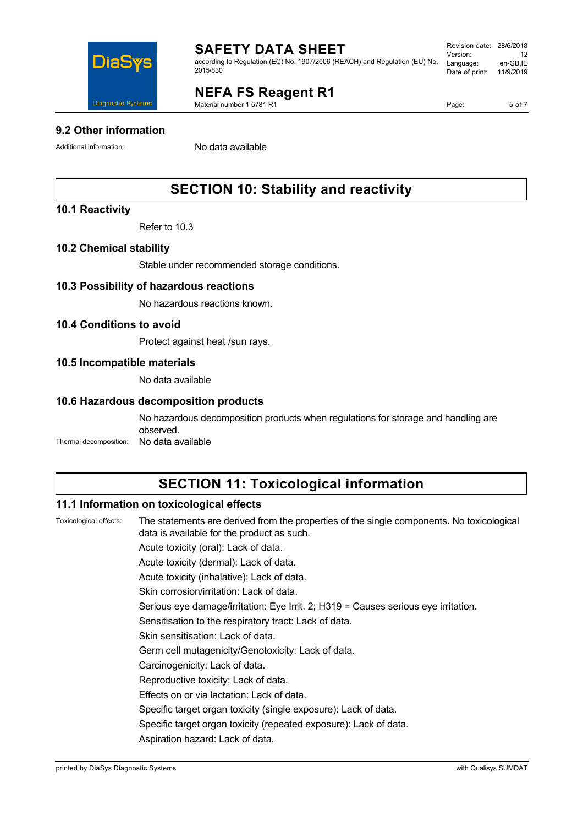

according to Regulation (EC) No. 1907/2006 (REACH) and Regulation (EU) No. 2015/830

| Revision date: 28/6/2018 |           |
|--------------------------|-----------|
| Version:                 | 12        |
| Language:                | en-GB,IE  |
| Date of print:           | 11/9/2019 |
|                          |           |

# **NEFA FS Reagent R1**

Material number 1 5781 R1

Page: 5 of 7

# **9.2 Other information**

Additional information: No data available

# **SECTION 10: Stability and reactivity**

# **10.1 Reactivity**

Refer to 10.3

# **10.2 Chemical stability**

Stable under recommended storage conditions.

# **10.3 Possibility of hazardous reactions**

No hazardous reactions known.

# **10.4 Conditions to avoid**

Protect against heat /sun rays.

# **10.5 Incompatible materials**

No data available

### **10.6 Hazardous decomposition products**

No hazardous decomposition products when regulations for storage and handling are observed. Thermal decomposition: No data available

# **SECTION 11: Toxicological information**

### **11.1 Information on toxicological effects**

Toxicological effects: The statements are derived from the properties of the single components. No toxicological data is available for the product as such.

Acute toxicity (oral): Lack of data.

Acute toxicity (dermal): Lack of data.

Acute toxicity (inhalative): Lack of data.

Skin corrosion/irritation: Lack of data.

Serious eye damage/irritation: Eye Irrit. 2; H319 = Causes serious eye irritation.

Sensitisation to the respiratory tract: Lack of data.

Skin sensitisation: Lack of data.

Germ cell mutagenicity/Genotoxicity: Lack of data.

Carcinogenicity: Lack of data.

Reproductive toxicity: Lack of data.

Effects on or via lactation: Lack of data.

Specific target organ toxicity (single exposure): Lack of data.

Specific target organ toxicity (repeated exposure): Lack of data.

Aspiration hazard: Lack of data.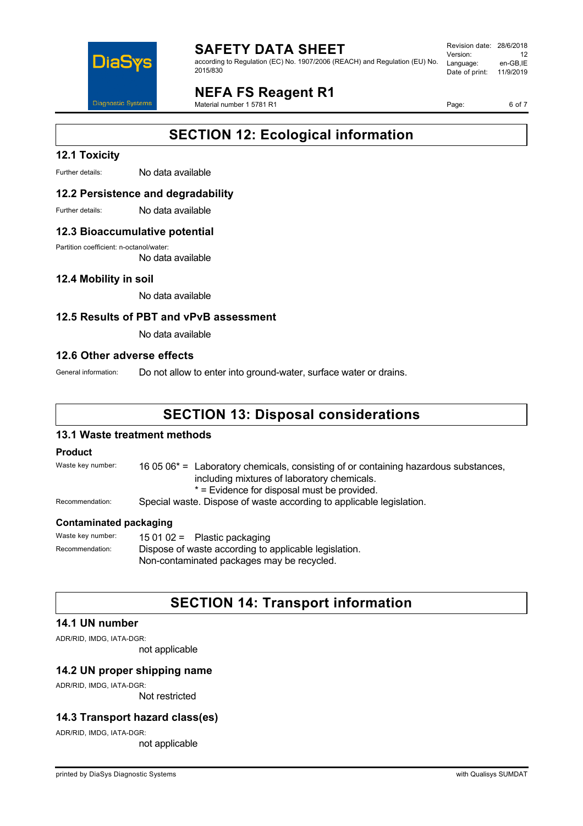

according to Regulation (EC) No. 1907/2006 (REACH) and Regulation (EU) No. 2015/830

#### Revision date: 28/6/2018 Version: 12<br>Language: en-GB IE Language: Date of print: 11/9/2019

**NEFA FS Reagent R1**

Material number 1 5781 R1

Page: 6 of 7

# **SECTION 12: Ecological information**

# **12.1 Toxicity**

Further details: No data available

### **12.2 Persistence and degradability**

Further details: No data available

#### **12.3 Bioaccumulative potential**

Partition coefficient: n-octanol/water:

No data available

### **12.4 Mobility in soil**

No data available

### **12.5 Results of PBT and vPvB assessment**

No data available

#### **12.6 Other adverse effects**

General information: Do not allow to enter into ground-water, surface water or drains.

# **SECTION 13: Disposal considerations**

### **13.1 Waste treatment methods**

#### **Product**

Waste key number: 16 05 06<sup>\*</sup> = Laboratory chemicals, consisting of or containing hazardous substances, including mixtures of laboratory chemicals. \* = Evidence for disposal must be provided. Recommendation: Special waste. Dispose of waste according to applicable legislation.

#### **Contaminated packaging**

Waste key number: 15 01 02 = Plastic packaging Recommendation: Dispose of waste according to applicable legislation. Non-contaminated packages may be recycled.

# **SECTION 14: Transport information**

### **14.1 UN number**

ADR/RID, IMDG, IATA-DGR:

not applicable

### **14.2 UN proper shipping name**

ADR/RID, IMDG, IATA-DGR:

Not restricted

# **14.3 Transport hazard class(es)**

ADR/RID, IMDG, IATA-DGR:

not applicable